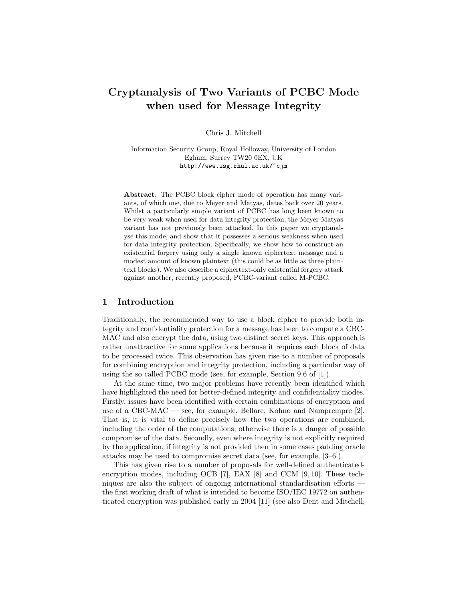# Cryptanalysis of Two Variants of PCBC Mode when used for Message Integrity

Chris J. Mitchell

Information Security Group, Royal Holloway, University of London Egham, Surrey TW20 0EX, UK http://www.isg.rhul.ac.uk/~cjm

Abstract. The PCBC block cipher mode of operation has many variants, of which one, due to Meyer and Matyas, dates back over 20 years. Whilst a particularly simple variant of PCBC has long been known to be very weak when used for data integrity protection, the Meyer-Matyas variant has not previously been attacked. In this paper we cryptanalyse this mode, and show that it possesses a serious weakness when used for data integrity protection. Specifically, we show how to construct an existential forgery using only a single known ciphertext message and a modest amount of known plaintext (this could be as little as three plaintext blocks). We also describe a ciphertext-only existential forgery attack against another, recently proposed, PCBC-variant called M-PCBC.

## 1 Introduction

Traditionally, the recommended way to use a block cipher to provide both integrity and confidentiality protection for a message has been to compute a CBC-MAC and also encrypt the data, using two distinct secret keys. This approach is rather unattractive for some applications because it requires each block of data to be processed twice. This observation has given rise to a number of proposals for combining encryption and integrity protection, including a particular way of using the so called PCBC mode (see, for example, Section 9.6 of [1]).

At the same time, two major problems have recently been identified which have highlighted the need for better-defined integrity and confidentiality modes. Firstly, issues have been identified with certain combinations of encryption and use of a CBC-MAC — see, for example, Bellare, Kohno and Namprempre [2]. That is, it is vital to define precisely how the two operations are combined, including the order of the computations; otherwise there is a danger of possible compromise of the data. Secondly, even where integrity is not explicitly required by the application, if integrity is not provided then in some cases padding oracle attacks may be used to compromise secret data (see, for example, [3–6]).

This has given rise to a number of proposals for well-defined authenticatedencryption modes, including OCB [7], EAX [8] and CCM [9, 10]. These techniques are also the subject of ongoing international standardisation efforts the first working draft of what is intended to become ISO/IEC 19772 on authenticated encryption was published early in 2004 [11] (see also Dent and Mitchell,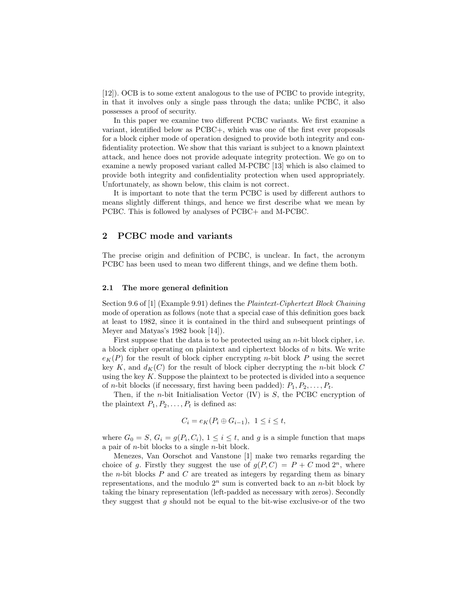[12]). OCB is to some extent analogous to the use of PCBC to provide integrity, in that it involves only a single pass through the data; unlike PCBC, it also possesses a proof of security.

In this paper we examine two different PCBC variants. We first examine a variant, identified below as PCBC+, which was one of the first ever proposals for a block cipher mode of operation designed to provide both integrity and confidentiality protection. We show that this variant is subject to a known plaintext attack, and hence does not provide adequate integrity protection. We go on to examine a newly proposed variant called M-PCBC [13] which is also claimed to provide both integrity and confidentiality protection when used appropriately. Unfortunately, as shown below, this claim is not correct.

It is important to note that the term PCBC is used by different authors to means slightly different things, and hence we first describe what we mean by PCBC. This is followed by analyses of PCBC+ and M-PCBC.

### 2 PCBC mode and variants

The precise origin and definition of PCBC, is unclear. In fact, the acronym PCBC has been used to mean two different things, and we define them both.

#### 2.1 The more general definition

Section 9.6 of [1] (Example 9.91) defines the Plaintext-Ciphertext Block Chaining mode of operation as follows (note that a special case of this definition goes back at least to 1982, since it is contained in the third and subsequent printings of Meyer and Matyas's 1982 book [14]).

First suppose that the data is to be protected using an  $n$ -bit block cipher, i.e. a block cipher operating on plaintext and ciphertext blocks of  $n$  bits. We write  $e_K(P)$  for the result of block cipher encrypting *n*-bit block P using the secret key K, and  $d_K(C)$  for the result of block cipher decrypting the n-bit block C using the key  $K$ . Suppose the plaintext to be protected is divided into a sequence of *n*-bit blocks (if necessary, first having been padded):  $P_1, P_2, \ldots, P_t$ .

Then, if the *n*-bit Initialisation Vector  $(IV)$  is S, the PCBC encryption of the plaintext  $P_1, P_2, \ldots, P_t$  is defined as:

$$
C_i = e_K(P_i \oplus G_{i-1}), \ 1 \le i \le t,
$$

where  $G_0 = S$ ,  $G_i = g(P_i, C_i)$ ,  $1 \leq i \leq t$ , and g is a simple function that maps a pair of n-bit blocks to a single n-bit block.

Menezes, Van Oorschot and Vanstone [1] make two remarks regarding the choice of q. Firstly they suggest the use of  $q(P, C) = P + C \text{ mod } 2^n$ , where the *n*-bit blocks  $P$  and  $C$  are treated as integers by regarding them as binary representations, and the modulo  $2^n$  sum is converted back to an n-bit block by taking the binary representation (left-padded as necessary with zeros). Secondly they suggest that  $q$  should not be equal to the bit-wise exclusive-or of the two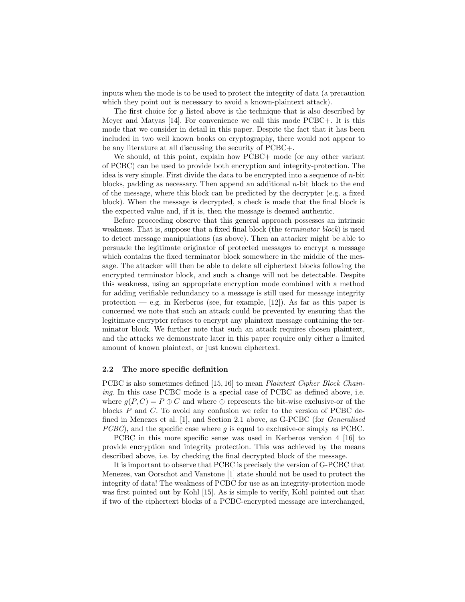inputs when the mode is to be used to protect the integrity of data (a precaution which they point out is necessary to avoid a known-plaintext attack).

The first choice for g listed above is the technique that is also described by Meyer and Matyas [14]. For convenience we call this mode PCBC+. It is this mode that we consider in detail in this paper. Despite the fact that it has been included in two well known books on cryptography, there would not appear to be any literature at all discussing the security of PCBC+.

We should, at this point, explain how PCBC+ mode (or any other variant of PCBC) can be used to provide both encryption and integrity-protection. The idea is very simple. First divide the data to be encrypted into a sequence of  $n$ -bit blocks, padding as necessary. Then append an additional  $n$ -bit block to the end of the message, where this block can be predicted by the decrypter (e.g. a fixed block). When the message is decrypted, a check is made that the final block is the expected value and, if it is, then the message is deemed authentic.

Before proceeding observe that this general approach possesses an intrinsic weakness. That is, suppose that a fixed final block (the terminator block) is used to detect message manipulations (as above). Then an attacker might be able to persuade the legitimate originator of protected messages to encrypt a message which contains the fixed terminator block somewhere in the middle of the message. The attacker will then be able to delete all ciphertext blocks following the encrypted terminator block, and such a change will not be detectable. Despite this weakness, using an appropriate encryption mode combined with a method for adding verifiable redundancy to a message is still used for message integrity protection — e.g. in Kerberos (see, for example,  $[12]$ ). As far as this paper is concerned we note that such an attack could be prevented by ensuring that the legitimate encrypter refuses to encrypt any plaintext message containing the terminator block. We further note that such an attack requires chosen plaintext, and the attacks we demonstrate later in this paper require only either a limited amount of known plaintext, or just known ciphertext.

#### 2.2 The more specific definition

PCBC is also sometimes defined [15, 16] to mean *Plaintext Cipher Block Chain*ing. In this case PCBC mode is a special case of PCBC as defined above, i.e. where  $g(P, C) = P \oplus C$  and where  $\oplus$  represents the bit-wise exclusive-or of the blocks P and C. To avoid any confusion we refer to the version of PCBC defined in Menezes et al. [1], and Section 2.1 above, as G-PCBC (for Generalised  $PCBC$ ), and the specific case where g is equal to exclusive-or simply as PCBC.

PCBC in this more specific sense was used in Kerberos version 4 [16] to provide encryption and integrity protection. This was achieved by the means described above, i.e. by checking the final decrypted block of the message.

It is important to observe that PCBC is precisely the version of G-PCBC that Menezes, van Oorschot and Vanstone [1] state should not be used to protect the integrity of data! The weakness of PCBC for use as an integrity-protection mode was first pointed out by Kohl [15]. As is simple to verify, Kohl pointed out that if two of the ciphertext blocks of a PCBC-encrypted message are interchanged,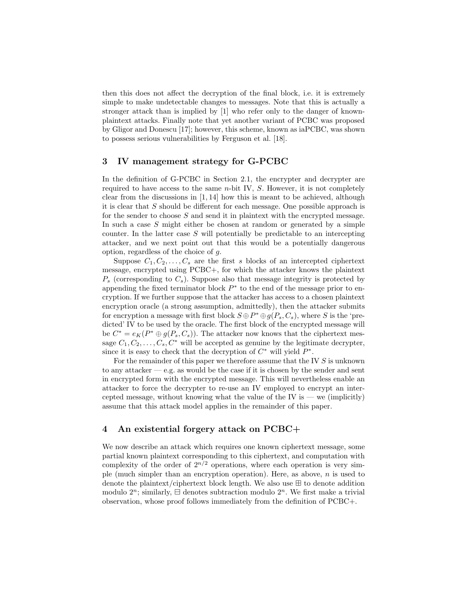then this does not affect the decryption of the final block, i.e. it is extremely simple to make undetectable changes to messages. Note that this is actually a stronger attack than is implied by [1] who refer only to the danger of knownplaintext attacks. Finally note that yet another variant of PCBC was proposed by Gligor and Donescu [17]; however, this scheme, known as iaPCBC, was shown to possess serious vulnerabilities by Ferguson et al. [18].

## 3 IV management strategy for G-PCBC

In the definition of G-PCBC in Section 2.1, the encrypter and decrypter are required to have access to the same  $n$ -bit IV, S. However, it is not completely clear from the discussions in [1, 14] how this is meant to be achieved, although it is clear that S should be different for each message. One possible approach is for the sender to choose  $S$  and send it in plaintext with the encrypted message. In such a case  $S$  might either be chosen at random or generated by a simple counter. In the latter case  $S$  will potentially be predictable to an intercepting attacker, and we next point out that this would be a potentially dangerous option, regardless of the choice of g.

Suppose  $C_1, C_2, \ldots, C_s$  are the first s blocks of an intercepted ciphertext message, encrypted using PCBC+, for which the attacker knows the plaintext  $P<sub>s</sub>$  (corresponding to  $C<sub>s</sub>$ ). Suppose also that message integrity is protected by appending the fixed terminator block  $P^*$  to the end of the message prior to encryption. If we further suppose that the attacker has access to a chosen plaintext encryption oracle (a strong assumption, admittedly), then the attacker submits for encryption a message with first block  $S \oplus P^* \oplus g(P_s, C_s)$ , where S is the 'predicted' IV to be used by the oracle. The first block of the encrypted message will be  $C^* = e_K(P^* \oplus g(P_s, C_s))$ . The attacker now knows that the ciphertext message  $C_1, C_2, \ldots, C_s, C^*$  will be accepted as genuine by the legitimate decrypter, since it is easy to check that the decryption of  $C^*$  will yield  $P^*$ .

For the remainder of this paper we therefore assume that the IV S is unknown to any attacker  $-$  e.g. as would be the case if it is chosen by the sender and sent in encrypted form with the encrypted message. This will nevertheless enable an attacker to force the decrypter to re-use an IV employed to encrypt an intercepted message, without knowing what the value of the IV is — we (implicitly) assume that this attack model applies in the remainder of this paper.

### 4 An existential forgery attack on PCBC+

We now describe an attack which requires one known ciphertext message, some partial known plaintext corresponding to this ciphertext, and computation with complexity of the order of  $2^{n/2}$  operations, where each operation is very simple (much simpler than an encryption operation). Here, as above,  $n$  is used to denote the plaintext/ciphertext block length. We also use  $\boxplus$  to denote addition modulo  $2^n$ ; similarly,  $\boxminus$  denotes subtraction modulo  $2^n$ . We first make a trivial observation, whose proof follows immediately from the definition of PCBC+.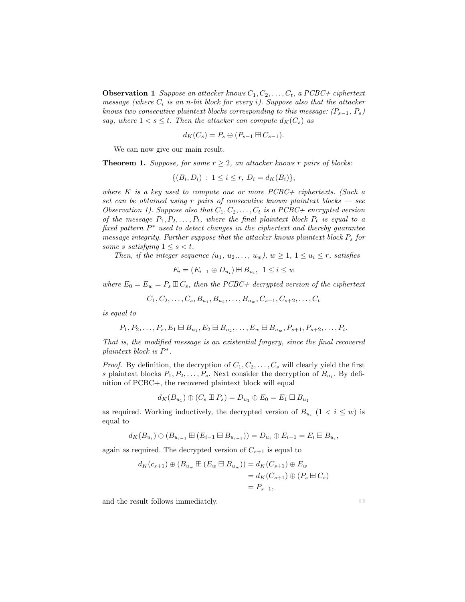**Observation 1** Suppose an attacker knows  $C_1, C_2, \ldots, C_t$ , a PCBC+ ciphertext message (where  $C_i$  is an n-bit block for every i). Suppose also that the attacker knows two consecutive plaintext blocks corresponding to this message:  $(P_{s-1}, P_s)$ say, where  $1 < s \leq t$ . Then the attacker can compute  $d_K(C_s)$  as

$$
d_K(C_s) = P_s \oplus (P_{s-1} \boxplus C_{s-1}).
$$

We can now give our main result.

**Theorem 1.** Suppose, for some  $r \geq 2$ , an attacker knows r pairs of blocks:

$$
\{(B_i, D_i) : 1 \le i \le r, D_i = d_K(B_i)\},\
$$

where  $K$  is a key used to compute one or more  $PCBC+$  ciphertexts. (Such a set can be obtained using r pairs of consecutive known plaintext blocks  $-$  see Observation 1). Suppose also that  $C_1, C_2, \ldots, C_t$  is a PCBC+ encrypted version of the message  $P_1, P_2, \ldots, P_t$ , where the final plaintext block  $P_t$  is equal to a fixed pattern  $P^*$  used to detect changes in the ciphertext and thereby guarantee message integrity. Further suppose that the attacker knows plaintext block  $P_s$  for some s satisfying  $1 \leq s < t$ .

Then, if the integer sequence  $(u_1, u_2, \ldots, u_w)$ ,  $w \geq 1, 1 \leq u_i \leq r$ , satisfies

 $E_i = (E_{i-1} \oplus D_{u_i}) \boxplus B_{u_i}, \ \ 1 \leq i \leq w$ 

where  $E_0 = E_w = P_s \boxplus C_s$ , then the PCBC+ decrypted version of the ciphertext

$$
C_1, C_2, \ldots, C_s, B_{u_1}, B_{u_2}, \ldots, B_{u_w}, C_{s+1}, C_{s+2}, \ldots, C_t
$$

is equal to

$$
P_1, P_2, \ldots, P_s, E_1 \boxminus B_{u_1}, E_2 \boxminus B_{u_2}, \ldots, E_w \boxminus B_{u_w}, P_{s+1}, P_{s+2}, \ldots, P_t.
$$

That is, the modified message is an existential forgery, since the final recovered plaintext block is  $P^*$ .

*Proof.* By definition, the decryption of  $C_1, C_2, \ldots, C_s$  will clearly yield the first s plaintext blocks  $P_1, P_2, \ldots, P_s$ . Next consider the decryption of  $B_{u_1}$ . By definition of PCBC+, the recovered plaintext block will equal

 $d_K(B_{u_1}) \oplus (C_s \boxplus P_s) = D_{u_1} \oplus E_0 = E_1 \boxminus B_{u_1}$ 

as required. Working inductively, the decrypted version of  $B_{u_i}$   $(1 \lt i \leq w)$  is equal to

$$
d_K(B_{u_i}) \oplus (B_{u_{i-1}} \boxplus (E_{i-1} \boxminus B_{u_{i-1}})) = D_{u_i} \oplus E_{i-1} = E_i \boxminus B_{u_i},
$$

again as required. The decrypted version of  $C_{s+1}$  is equal to

$$
d_K(c_{s+1}) \oplus (B_{u_w} \boxplus (E_w \boxminus B_{u_w})) = d_K(C_{s+1}) \oplus E_w
$$
  
=  $d_K(C_{s+1}) \oplus (P_s \boxplus C_s)$   
=  $P_{s+1}$ ,

and the result follows immediately.  $\Box$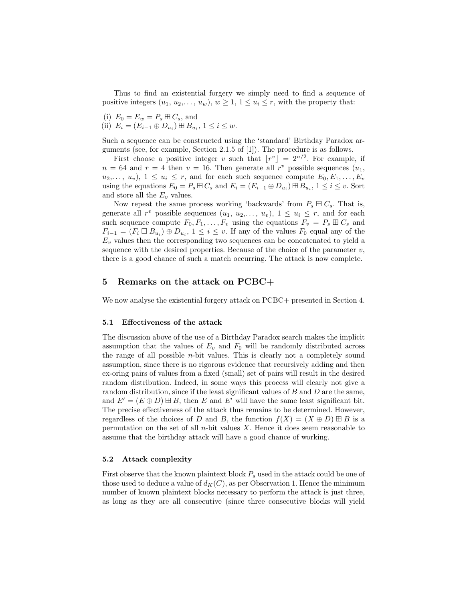Thus to find an existential forgery we simply need to find a sequence of positive integers  $(u_1, u_2, \ldots, u_w), w \geq 1, 1 \leq u_i \leq r$ , with the property that:

(i)  $E_0 = E_w = P_s \boxplus C_s$ , and

(ii)  $E_i = (E_{i-1} \oplus D_{u_i}) \boxplus B_{u_i}, 1 \le i \le w.$ 

Such a sequence can be constructed using the 'standard' Birthday Paradox arguments (see, for example, Section 2.1.5 of [1]). The procedure is as follows.

First choose a positive integer v such that  $|r^v| = 2^{n/2}$ . For example, if  $n = 64$  and  $r = 4$  then  $v = 16$ . Then generate all  $r^v$  possible sequences  $(u_1,$  $u_2,\ldots, u_v$ ,  $1 \leq u_i \leq r$ , and for each such sequence compute  $E_0, E_1, \ldots, E_v$ using the equations  $E_0 = P_s \boxplus C_s$  and  $E_i = (E_{i-1} \oplus D_{u_i}) \boxplus B_{u_i}, 1 \le i \le v$ . Sort and store all the  $E_v$  values.

Now repeat the same process working 'backwards' from  $P_s \boxplus C_s$ . That is, generate all  $r^v$  possible sequences  $(u_1, u_2, \ldots, u_v)$ ,  $1 \leq u_i \leq r$ , and for each such sequence compute  $F_0, F_1, \ldots, F_v$  using the equations  $F_v = P_s \boxplus C_s$  and  $F_{i-1} = (F_i \boxminus B_{u_i}) \oplus D_{u_i}, 1 \leq i \leq v$ . If any of the values  $F_0$  equal any of the  $E_v$  values then the corresponding two sequences can be concatenated to yield a sequence with the desired properties. Because of the choice of the parameter  $v$ , there is a good chance of such a match occurring. The attack is now complete.

# 5 Remarks on the attack on PCBC+

We now analyse the existential forgery attack on PCBC+ presented in Section 4.

#### 5.1 Effectiveness of the attack

The discussion above of the use of a Birthday Paradox search makes the implicit assumption that the values of  $E_v$  and  $F_0$  will be randomly distributed across the range of all possible  $n$ -bit values. This is clearly not a completely sound assumption, since there is no rigorous evidence that recursively adding and then ex-oring pairs of values from a fixed (small) set of pairs will result in the desired random distribution. Indeed, in some ways this process will clearly not give a random distribution, since if the least significant values of B and D are the same, and  $E' = (E \oplus D) \boxplus B$ , then E and E' will have the same least significant bit. The precise effectiveness of the attack thus remains to be determined. However, regardless of the choices of D and B, the function  $f(X) = (X \oplus D) \boxplus B$  is a permutation on the set of all  $n$ -bit values X. Hence it does seem reasonable to assume that the birthday attack will have a good chance of working.

#### 5.2 Attack complexity

First observe that the known plaintext block  $P_s$  used in the attack could be one of those used to deduce a value of  $d_K(C)$ , as per Observation 1. Hence the minimum number of known plaintext blocks necessary to perform the attack is just three, as long as they are all consecutive (since three consecutive blocks will yield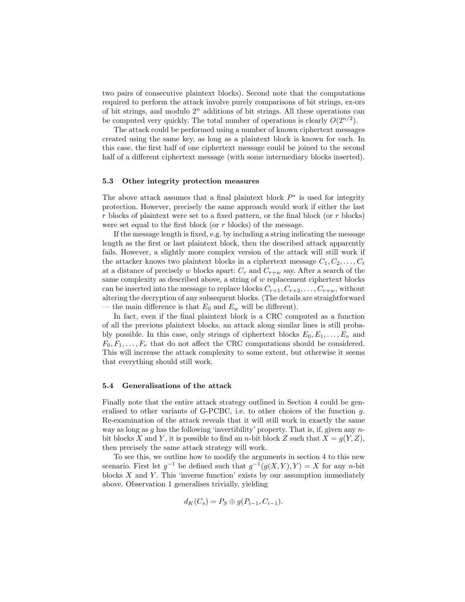two pairs of consecutive plaintext blocks). Second note that the computations required to perform the attack involve purely comparisons of bit strings, ex-ors of bit strings, and modulo  $2<sup>n</sup>$  additions of bit strings. All these operations can be computed very quickly. The total number of operations is clearly  $O(2^{n/2})$ .

The attack could be performed using a number of known ciphertext messages created using the same key, as long as a plaintext block is known for each. In this case, the first half of one ciphertext message could be joined to the second half of a different ciphertext message (with some intermediary blocks inserted).

#### 5.3 Other integrity protection measures

The above attack assumes that a final plaintext block  $P^*$  is used for integrity protection. However, precisely the same approach would work if either the last  $r$  blocks of plaintext were set to a fixed pattern, or the final block (or  $r$  blocks) were set equal to the first block (or  $r$  blocks) of the message.

If the message length is fixed, e.g. by including a string indicating the message length as the first or last plaintext block, then the described attack apparently fails. However, a slightly more complex version of the attack will still work if the attacker knows two plaintext blocks in a ciphertext message  $C_1, C_2, \ldots, C_t$ at a distance of precisely w blocks apart:  $C_r$  and  $C_{r+w}$  say. After a search of the same complexity as described above, a string of w replacement ciphertext blocks can be inserted into the message to replace blocks  $C_{r+1}, C_{r+2}, \ldots, C_{r+w}$ , without altering the decryption of any subsequent blocks. (The details are straightforward — the main difference is that  $E_0$  and  $E_w$  will be different).

In fact, even if the final plaintext block is a CRC computed as a function of all the previous plaintext blocks, an attack along similar lines is still probably possible. In this case, only strings of ciphertext blocks  $E_0, E_1, \ldots, E_v$  and  $F_0, F_1, \ldots, F_v$  that do not affect the CRC computations should be considered. This will increase the attack complexity to some extent, but otherwise it seems that everything should still work.

#### 5.4 Generalisations of the attack

Finally note that the entire attack strategy outlined in Section 4 could be generalised to other variants of G-PCBC, i.e. to other choices of the function  $q$ . Re-examination of the attack reveals that it will still work in exactly the same way as long as  $g$  has the following 'invertibility' property. That is, if, given any  $n$ bit blocks X and Y, it is possible to find an n-bit block Z such that  $X = g(Y, Z)$ , then precisely the same attack strategy will work.

To see this, we outline how to modify the arguments in section 4 to this new scenario. First let  $g^{-1}$  be defined such that  $g^{-1}(g(X, Y), Y) = X$  for any n-bit blocks  $X$  and  $Y$ . This 'inverse function' exists by our assumption immediately above. Observation 1 generalises trivially, yielding

$$
d_K(C_s) = P_S \oplus g(P_{i-1}, C_{i-1}).
$$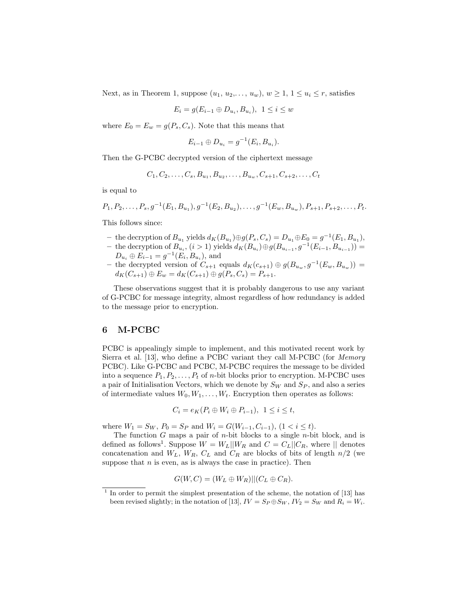Next, as in Theorem 1, suppose  $(u_1, u_2, \ldots, u_w), w \ge 1, 1 \le u_i \le r$ , satisfies

$$
E_i = g(E_{i-1} \oplus D_{u_i}, B_{u_i}), \ 1 \le i \le w
$$

where  $E_0 = E_w = g(P_s, C_s)$ . Note that this means that

$$
E_{i-1} \oplus D_{u_i} = g^{-1}(E_i, B_{u_i}).
$$

Then the G-PCBC decrypted version of the ciphertext message

$$
C_1, C_2, \ldots, C_s, B_{u_1}, B_{u_2}, \ldots, B_{u_w}, C_{s+1}, C_{s+2}, \ldots, C_t
$$

is equal to

$$
P_1, P_2, \ldots, P_s, g^{-1}(E_1, B_{u_1}), g^{-1}(E_2, B_{u_2}), \ldots, g^{-1}(E_w, B_{u_w}), P_{s+1}, P_{s+2}, \ldots, P_t.
$$

This follows since:

- the decryption of  $B_{u_1}$  yields  $d_K(B_{u_1}) \oplus g(P_s, C_s) = D_{u_1} \oplus E_0 = g^{-1}(E_1, B_{u_1}),$
- the decryption of  $B_{u_i}$ ,  $(i > 1)$  yields  $d_K(B_{u_i}) \oplus g(B_{u_{i-1}}, g^{-1}(E_{i-1}, B_{u_{i-1}})) =$  $D_{u_i} \oplus E_{i-1} = g^{-1}(E_i, B_{u_i}),$  and
- the decrypted version of  $C_{s+1}$  equals  $d_K(c_{s+1}) \oplus g(B_{u_w}, g^{-1}(E_w, B_{u_w}))$  =  $d_K(C_{s+1}) \oplus E_w = d_K(C_{s+1}) \oplus g(P_s, C_s) = P_{s+1}.$

These observations suggest that it is probably dangerous to use any variant of G-PCBC for message integrity, almost regardless of how redundancy is added to the message prior to encryption.

# 6 M-PCBC

PCBC is appealingly simple to implement, and this motivated recent work by Sierra et al. [13], who define a PCBC variant they call M-PCBC (for Memory PCBC). Like G-PCBC and PCBC, M-PCBC requires the message to be divided into a sequence  $P_1, P_2, \ldots, P_t$  of *n*-bit blocks prior to encryption. M-PCBC uses a pair of Initialisation Vectors, which we denote by  $S_W$  and  $S_P$ , and also a series of intermediate values  $W_0, W_1, \ldots, W_t$ . Encryption then operates as follows:

$$
C_i = e_K(P_i \oplus W_i \oplus P_{i-1}), \ 1 \leq i \leq t,
$$

where  $W_1 = S_W$ ,  $P_0 = S_P$  and  $W_i = G(W_{i-1}, C_{i-1}),$   $(1 \lt i \leq t)$ .

The function G maps a pair of *n*-bit blocks to a single *n*-bit block, and is defined as follows<sup>1</sup>. Suppose  $W = W_L || W_R$  and  $C = C_L || C_R$ , where  $||$  denotes concatenation and  $W_L$ ,  $W_R$ ,  $C_L$  and  $C_R$  are blocks of bits of length  $n/2$  (we suppose that  $n$  is even, as is always the case in practice). Then

$$
G(W, C) = (W_L \oplus W_R) || (C_L \oplus C_R).
$$

 $<sup>1</sup>$  In order to permit the simplest presentation of the scheme, the notation of [13] has</sup> been revised slightly; in the notation of [13],  $IV = S_P \oplus S_W$ ,  $IV_2 = S_W$  and  $R_i = W_i$ .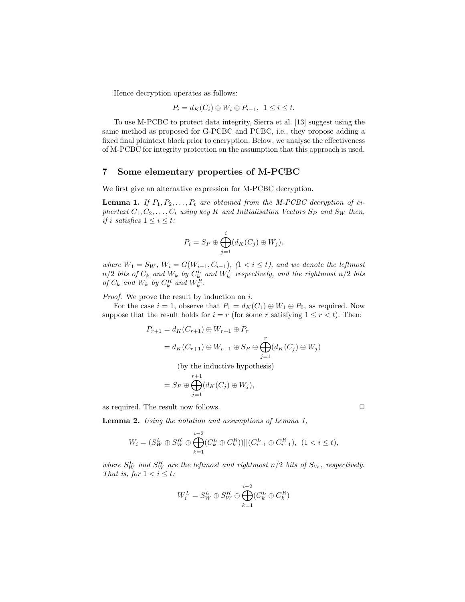Hence decryption operates as follows:

$$
P_i = d_K(C_i) \oplus W_i \oplus P_{i-1}, \ 1 \leq i \leq t.
$$

To use M-PCBC to protect data integrity, Sierra et al. [13] suggest using the same method as proposed for G-PCBC and PCBC, i.e., they propose adding a fixed final plaintext block prior to encryption. Below, we analyse the effectiveness of M-PCBC for integrity protection on the assumption that this approach is used.

# 7 Some elementary properties of M-PCBC

We first give an alternative expression for M-PCBC decryption.

**Lemma 1.** If  $P_1, P_2, \ldots, P_t$  are obtained from the M-PCBC decryption of ciphertext  $C_1, C_2, \ldots, C_t$  using key K and Initialisation Vectors  $S_P$  and  $S_W$  then, if i satisfies  $1 \leq i \leq t$ :

$$
P_i = S_P \oplus \bigoplus_{j=1}^i (d_K(C_j) \oplus W_j).
$$

where  $W_1 = S_W$ ,  $W_i = G(W_{i-1}, C_{i-1})$ ,  $(1 \lt i \leq t)$ , and we denote the leftmost  $n/2$  bits of  $C_k$  and  $W_k$  by  $C_{k_k}^L$  and  $W_k^L$  respectively, and the rightmost  $n/2$  bits of  $C_k$  and  $W_k$  by  $C_k^R$  and  $W_k^R$ .

*Proof.* We prove the result by induction on  $i$ .

For the case  $i = 1$ , observe that  $P_1 = d_K(C_1) \oplus W_1 \oplus P_0$ , as required. Now suppose that the result holds for  $i = r$  (for some r satisfying  $1 \le r < t$ ). Then:

$$
P_{r+1} = d_K(C_{r+1}) \oplus W_{r+1} \oplus P_r
$$
  
=  $d_K(C_{r+1}) \oplus W_{r+1} \oplus S_P \oplus \bigoplus_{j=1}^r (d_K(C_j) \oplus W_j)$   
(by the inductive hypothesis)

$$
= S_P \oplus \bigoplus_{j=1}^{r+1} (d_K(C_j) \oplus W_j),
$$

as required. The result now follows.  $\Box$ 

Lemma 2. Using the notation and assumptions of Lemma 1,

$$
W_i = (S_W^L \oplus S_W^R \oplus \bigoplus_{k=1}^{i-2} (C_k^L \oplus C_k^R)) || (C_{i-1}^L \oplus C_{i-1}^R), (1 < i \le t),
$$

where  $S_W^L$  and  $S_W^R$  are the leftmost and rightmost  $n/2$  bits of  $S_W$ , respectively. That is, for  $1 < i \leq t$ :

$$
W_i^L = S_W^L \oplus S_W^R \oplus \bigoplus_{k=1}^{i-2} (C_k^L \oplus C_k^R)
$$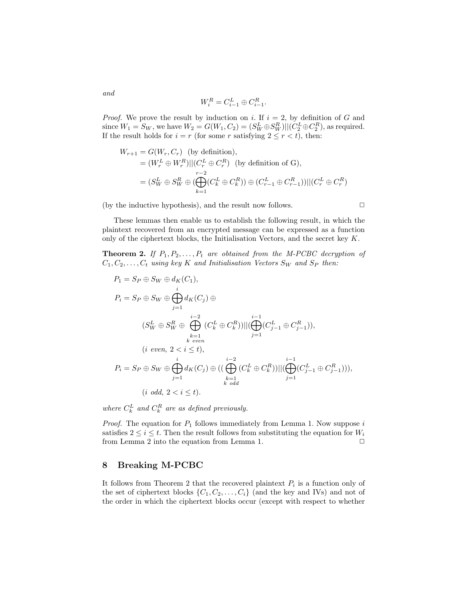$$
W_i^R = C_{i-1}^L \oplus C_{i-1}^R.
$$

*Proof.* We prove the result by induction on i. If  $i = 2$ , by definition of G and since  $W_1 = S_W$ , we have  $W_2 = G(W_1, C_2) = (S_W^L \oplus S_W^R) || (C_2^L \oplus C_2^R)$ , as required. If the result holds for  $i = r$  (for some r satisfying  $2 \le r < t$ ), then:

$$
W_{r+1} = G(W_r, C_r) \text{ (by definition)},
$$
  
=  $(W_r^L \oplus W_r^R)||(C_r^L \oplus C_r^R)$  (by definition of G),  

$$
= (S_W^L \oplus S_W^R \oplus (\bigoplus_{k=1}^{r-2} (C_k^L \oplus C_k^R)) \oplus (C_{r-1}^L \oplus C_{r-1}^R))||(C_r^L \oplus C_r^R)
$$

(by the inductive hypothesis), and the result now follows.  $\Box$ 

These lemmas then enable us to establish the following result, in which the plaintext recovered from an encrypted message can be expressed as a function only of the ciphertext blocks, the Initialisation Vectors, and the secret key K.

**Theorem 2.** If  $P_1, P_2, \ldots, P_t$  are obtained from the M-PCBC decryption of  $C_1, C_2, \ldots, C_t$  using key K and Initialisation Vectors  $S_W$  and  $S_P$  then:

P<sup>1</sup> = S<sup>P</sup> ⊕ S<sup>W</sup> ⊕ dK(C1), P<sup>i</sup> = S<sup>P</sup> ⊕ S<sup>W</sup> ⊕ M i j=1 dK(C<sup>j</sup> ) ⊕ (S L <sup>W</sup> ⊕ S R <sup>W</sup> ⊕ M i−2 k=1 k even (C L <sup>k</sup> ⊕ C R k ))||( M i−1 j=1 (C L <sup>j</sup>−<sup>1</sup> ⊕ C R j−1 )), (i even, 2 < i ≤ t), P<sup>i</sup> = S<sup>P</sup> ⊕ S<sup>W</sup> ⊕ M i j=1 <sup>d</sup>K(C<sup>j</sup> ) <sup>⊕</sup> ((<sup>M</sup> i−2 k=1 k odd (C L <sup>k</sup> ⊕ C R k ))||( M i−1 j=1 (C L <sup>j</sup>−<sup>1</sup> ⊕ C R j−1 ))), (i odd, 2 < i ≤ t).

where  $C_k^L$  and  $C_k^R$  are as defined previously.

*Proof.* The equation for  $P_1$  follows immediately from Lemma 1. Now suppose i satisfies  $2 \leq i \leq t$ . Then the result follows from substituting the equation for  $W_i$ from Lemma 2 into the equation from Lemma 1.  $\Box$ 

# 8 Breaking M-PCBC

It follows from Theorem 2 that the recovered plaintext  $P_i$  is a function only of the set of ciphertext blocks  $\{C_1, C_2, \ldots, C_i\}$  (and the key and IVs) and not of the order in which the ciphertext blocks occur (except with respect to whether

and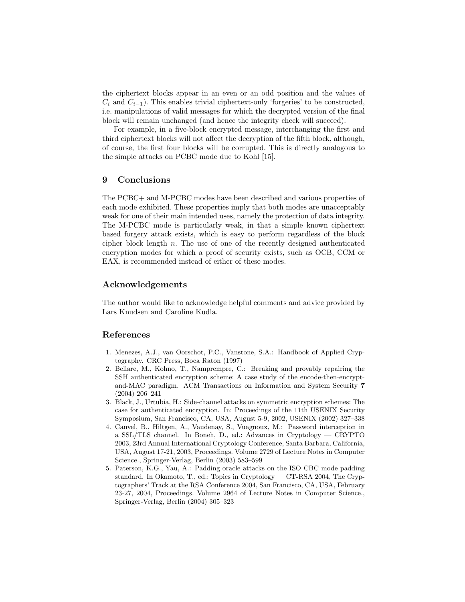the ciphertext blocks appear in an even or an odd position and the values of  $C_i$  and  $C_{i-1}$ ). This enables trivial ciphertext-only 'forgeries' to be constructed, i.e. manipulations of valid messages for which the decrypted version of the final block will remain unchanged (and hence the integrity check will succeed).

For example, in a five-block encrypted message, interchanging the first and third ciphertext blocks will not affect the decryption of the fifth block, although, of course, the first four blocks will be corrupted. This is directly analogous to the simple attacks on PCBC mode due to Kohl [15].

# 9 Conclusions

The PCBC+ and M-PCBC modes have been described and various properties of each mode exhibited. These properties imply that both modes are unacceptably weak for one of their main intended uses, namely the protection of data integrity. The M-PCBC mode is particularly weak, in that a simple known ciphertext based forgery attack exists, which is easy to perform regardless of the block cipher block length  $n$ . The use of one of the recently designed authenticated encryption modes for which a proof of security exists, such as OCB, CCM or EAX, is recommended instead of either of these modes.

# Acknowledgements

The author would like to acknowledge helpful comments and advice provided by Lars Knudsen and Caroline Kudla.

# References

- 1. Menezes, A.J., van Oorschot, P.C., Vanstone, S.A.: Handbook of Applied Cryptography. CRC Press, Boca Raton (1997)
- 2. Bellare, M., Kohno, T., Namprempre, C.: Breaking and provably repairing the SSH authenticated encryption scheme: A case study of the encode-then-encryptand-MAC paradigm. ACM Transactions on Information and System Security 7 (2004) 206–241
- 3. Black, J., Urtubia, H.: Side-channel attacks on symmetric encryption schemes: The case for authenticated encryption. In: Proceedings of the 11th USENIX Security Symposium, San Francisco, CA, USA, August 5-9, 2002, USENIX (2002) 327–338
- 4. Canvel, B., Hiltgen, A., Vaudenay, S., Vuagnoux, M.: Password interception in a SSL/TLS channel. In Boneh, D., ed.: Advances in Cryptology — CRYPTO 2003, 23rd Annual International Cryptology Conference, Santa Barbara, California, USA, August 17-21, 2003, Proceedings. Volume 2729 of Lecture Notes in Computer Science., Springer-Verlag, Berlin (2003) 583–599
- 5. Paterson, K.G., Yau, A.: Padding oracle attacks on the ISO CBC mode padding standard. In Okamoto, T., ed.: Topics in Cryptology — CT-RSA 2004, The Cryptographers' Track at the RSA Conference 2004, San Francisco, CA, USA, February 23-27, 2004, Proceedings. Volume 2964 of Lecture Notes in Computer Science., Springer-Verlag, Berlin (2004) 305–323